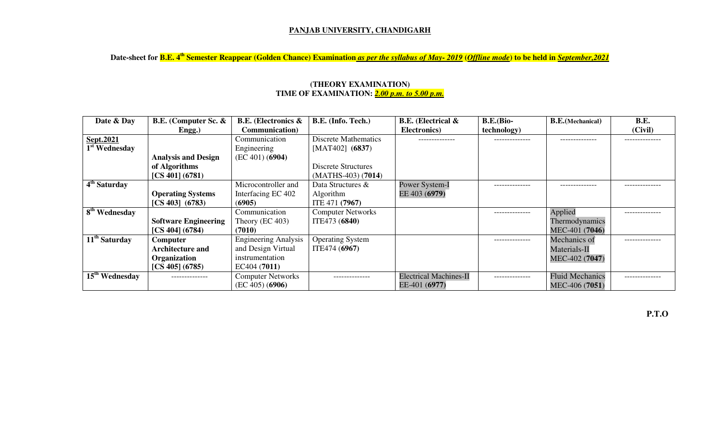## **PANJAB UNIVERSITY, CHANDIGARH**

**Date-sheet for B.E. 4th Semester Reappear (Golden Chance) Examination** *as per the syllabus of May- 2019* **(***Offline mode***) to be held in** *September,2021*

| Date & Day                 | <b>B.E.</b> (Computer Sc. & | <b>B.E.</b> (Electronics &  | B.E. (Info. Tech.)       | <b>B.E.</b> (Electrical &     | <b>B.E.</b> (Bio- | <b>B.E.</b> (Mechanical) | B.E.          |
|----------------------------|-----------------------------|-----------------------------|--------------------------|-------------------------------|-------------------|--------------------------|---------------|
|                            | Engg.)                      | <b>Communication</b> )      |                          | Electronics)                  | technology)       |                          | (Civil)       |
| Sept.2021                  |                             | Communication               | Discrete Mathematics     | -------------                 | -------------     | -------------            | ------------- |
| 1 <sup>st</sup> Wednesday  |                             | Engineering                 | $[MAT402]$ (6837)        |                               |                   |                          |               |
|                            | <b>Analysis and Design</b>  | (EC 401) (6904)             |                          |                               |                   |                          |               |
|                            | of Algorithms               |                             | Discrete Structures      |                               |                   |                          |               |
|                            | [CS 401] (6781)             |                             | $(MATHS-403) (7014)$     |                               |                   |                          |               |
| 4 <sup>th</sup> Saturday   |                             | Microcontroller and         | Data Structures &        | Power System-I                |                   |                          | .             |
|                            | <b>Operating Systems</b>    | Interfacing EC 402          | Algorithm                | EE 403 (6979)                 |                   |                          |               |
|                            | $[CS 403]$ $(6783)$         | (6905)                      | ITE 471 (7967)           |                               |                   |                          |               |
| 8 <sup>th</sup> Wednesday  |                             | Communication               | <b>Computer Networks</b> |                               | --------------    | Applied                  | ------------- |
|                            | <b>Software Engineering</b> | Theory (EC 403)             | ITE473 (6840)            |                               |                   | Thermodynamics           |               |
|                            | [CS 404] (6784)             | (7010)                      |                          |                               |                   | MEC-401 (7046)           |               |
| 11 <sup>th</sup> Saturday  | Computer                    | <b>Engineering Analysis</b> | <b>Operating System</b>  |                               | -------------     | Mechanics of             |               |
|                            | <b>Architecture and</b>     | and Design Virtual          | ITE474 (6967)            |                               |                   | Materials-II             |               |
|                            | <b>Organization</b>         | instrumentation             |                          |                               |                   | MEC-402 (7047)           |               |
|                            | [CS 405] (6785)             | EC404 (7011)                |                          |                               |                   |                          |               |
| 15 <sup>th</sup> Wednesday | --------------              | <b>Computer Networks</b>    | --------------           | <b>Electrical Machines-II</b> | --------------    | <b>Fluid Mechanics</b>   |               |
|                            |                             | (EC 405) (6906)             |                          | EE-401 (6977)                 |                   | MEC-406 (7051)           |               |

## **(THEORY EXAMINATION) TIME OF EXAMINATION:** *2.00 p.m. to 5.00 p.m.*